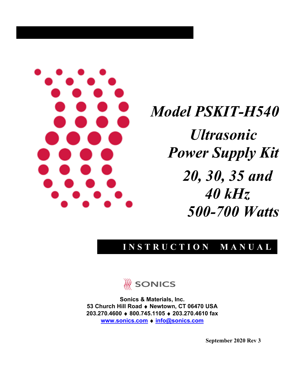

*Model PSKIT-H540 Ultrasonic Power Supply Kit 20, 30, 35 and 40 kHz 500-700 Watts* 

## **INSTRUCTION MANUAL**



**Sonics & Materials, Inc. 53 Church Hill Road** ♦ **Newtown, CT 06470 USA 203.270.4600** ♦ **800.745.1105** ♦ **203.270.4610 fax [www.sonics.c](http://www.sonics./)om** ♦ **info@sonics.com**

**September 2020 Rev 3**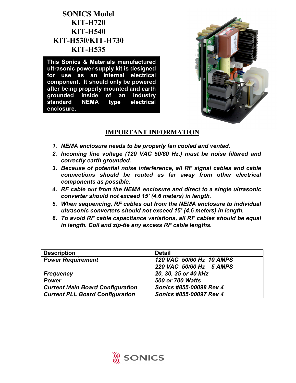### **SONICS Model KIT-H720 KIT-H540 KIT-H530/KIT-H730 KIT-H535**

**This Sonics & Materials manufactured ultrasonic power supply kit is designed for use as an internal electrical component. It should only be powered after being properly mounted and earth grounded inside of an industry standard NEMA type electrical enclosure.**



### **IMPORTANT INFORMATION**

- *1. NEMA enclosure needs to be properly fan cooled and vented.*
- *2. Incoming line voltage (120 VAC 50/60 Hz.) must be noise filtered and correctly earth grounded.*
- *3. Because of potential noise interference, all RF signal cables and cable connections should be routed as far away from other electrical components as possible.*
- *4. RF cable out from the NEMA enclosure and direct to a single ultrasonic converter should not exceed 15' (4.6 meters) in length.*
- *5. When sequencing, RF cables out from the NEMA enclosure to individual ultrasonic converters should not exceed 15' (4.6 meters) in length.*
- *6. To avoid RF cable capacitance variations, all RF cables should be equal in length. Coil and zip-tie any excess RF cable lengths.*

| <b>Description</b>                      | <b>Detail</b>            |
|-----------------------------------------|--------------------------|
| <b>Power Requirement</b>                | 120 VAC 50/60 Hz 10 AMPS |
|                                         | 220 VAC 50/60 Hz 5 AMPS  |
| <b>Frequency</b>                        | 20, 30, 35 or 40 kHz     |
| <b>Power</b>                            | <b>500 or 700 Watts</b>  |
| <b>Current Main Board Configuration</b> | Sonics #855-00098 Rev 4  |
| <b>Current PLL Board Configuration</b>  | Sonics #855-00097 Rev 4  |

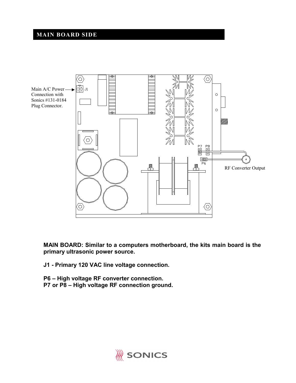### **MAIN BOARD SIDE**



**MAIN BOARD: Similar to a computers motherboard, the kits main board is the primary ultrasonic power source.**

**J1 - Primary 120 VAC line voltage connection.** 

**P6 – High voltage RF converter connection. P7 or P8 – High voltage RF connection ground.** 

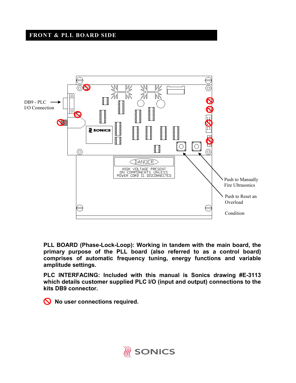#### **FRONT & PLL BOARD SIDE**



**PLL BOARD (Phase-Lock-Loop): Working in tandem with the main board, the primary purpose of the PLL board (also referred to as a control board) comprises of automatic frequency tuning, energy functions and variable amplitude settings.** 

**PLC INTERFACING: Included with this manual is Sonics drawing #E-3113 which details customer supplied PLC I/O (input and output) connections to the kits DB9 connector.** 

**No user connections required.** 

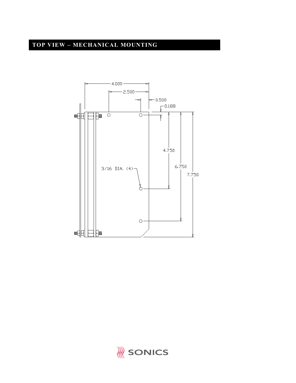## **TOP VIEW – MECHANICAL MOUNTING**



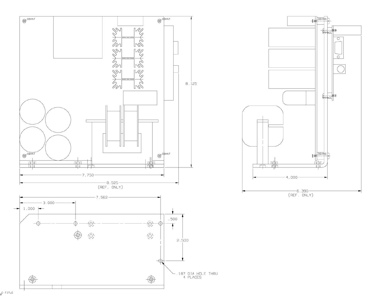



C-TITLE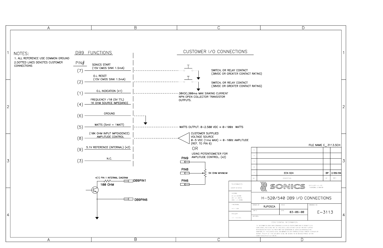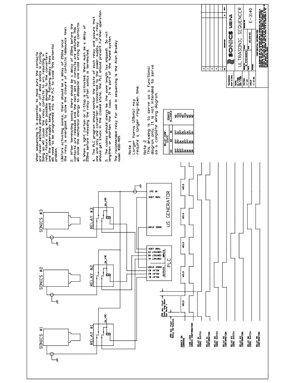